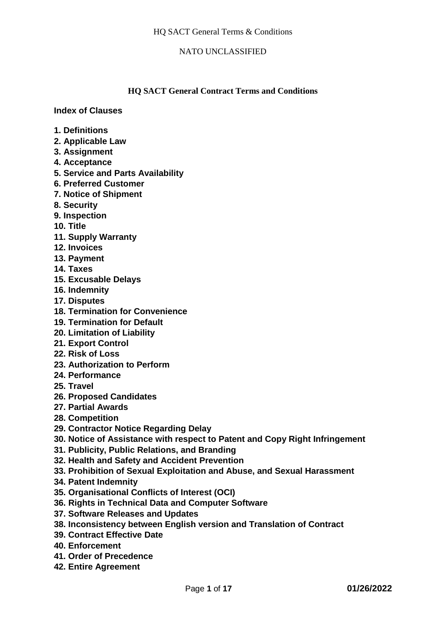## **HQ SACT General Contract Terms and Conditions**

**Index of Clauses** 

- **1. Definitions**
- **2. Applicable Law**
- **3. Assignment**
- **4. Acceptance**
- **5. Service and Parts Availability**
- **6. Preferred Customer**
- **7. Notice of Shipment**
- **8. Security**
- **9. Inspection**
- **10. Title**
- **11. Supply Warranty**
- **12. Invoices**
- **13. Payment**
- **14. Taxes**
- **15. Excusable Delays**
- **16. Indemnity**
- **17. Disputes**
- **18. Termination for Convenience**
- **19. Termination for Default**
- **20. Limitation of Liability**
- **21. Export Control**
- **22. Risk of Loss**
- **23. Authorization to Perform**
- **24. Performance**
- **25. Travel**
- **26. Proposed Candidates**
- **27. Partial Awards**
- **28. Competition**
- **29. Contractor Notice Regarding Delay**
- **30. Notice of Assistance with respect to Patent and Copy Right Infringement**
- **31. Publicity, Public Relations, and Branding**
- **32. Health and Safety and Accident Prevention**
- **33. Prohibition of Sexual Exploitation and Abuse, and Sexual Harassment**
- **34. Patent Indemnity**
- **35. Organisational Conflicts of Interest (OCI)**
- **36. Rights in Technical Data and Computer Software**
- **37. Software Releases and Updates**
- **38. Inconsistency between English version and Translation of Contract**
- **39. Contract Effective Date**
- **40. Enforcement**
- **41. Order of Precedence**
- **42. Entire Agreement**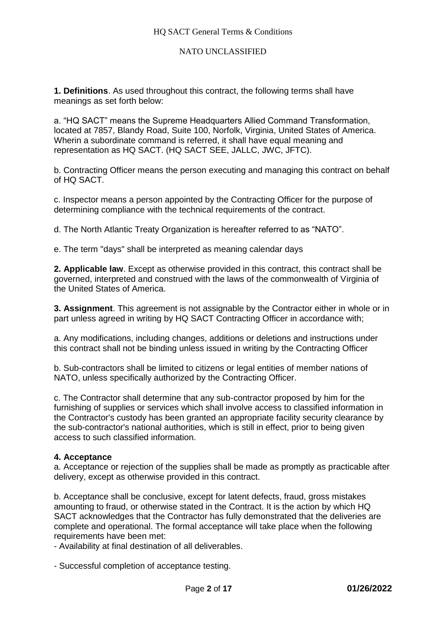**1. Definitions**. As used throughout this contract, the following terms shall have meanings as set forth below:

a. "HQ SACT" means the Supreme Headquarters Allied Command Transformation, located at 7857, Blandy Road, Suite 100, Norfolk, Virginia, United States of America. Wherin a subordinate command is referred, it shall have equal meaning and representation as HQ SACT. (HQ SACT SEE, JALLC, JWC, JFTC).

b. Contracting Officer means the person executing and managing this contract on behalf of HQ SACT.

c. Inspector means a person appointed by the Contracting Officer for the purpose of determining compliance with the technical requirements of the contract.

d. The North Atlantic Treaty Organization is hereafter referred to as "NATO".

e. The term "days" shall be interpreted as meaning calendar days

**2. Applicable law**. Except as otherwise provided in this contract, this contract shall be governed, interpreted and construed with the laws of the commonwealth of Virginia of the United States of America.

**3. Assignment**. This agreement is not assignable by the Contractor either in whole or in part unless agreed in writing by HQ SACT Contracting Officer in accordance with;

a. Any modifications, including changes, additions or deletions and instructions under this contract shall not be binding unless issued in writing by the Contracting Officer

b. Sub-contractors shall be limited to citizens or legal entities of member nations of NATO, unless specifically authorized by the Contracting Officer.

c. The Contractor shall determine that any sub-contractor proposed by him for the furnishing of supplies or services which shall involve access to classified information in the Contractor's custody has been granted an appropriate facility security clearance by the sub-contractor's national authorities, which is still in effect, prior to being given access to such classified information.

#### **4. Acceptance**

a. Acceptance or rejection of the supplies shall be made as promptly as practicable after delivery, except as otherwise provided in this contract.

b. Acceptance shall be conclusive, except for latent defects, fraud, gross mistakes amounting to fraud, or otherwise stated in the Contract. It is the action by which HQ SACT acknowledges that the Contractor has fully demonstrated that the deliveries are complete and operational. The formal acceptance will take place when the following requirements have been met:

- Availability at final destination of all deliverables.

- Successful completion of acceptance testing.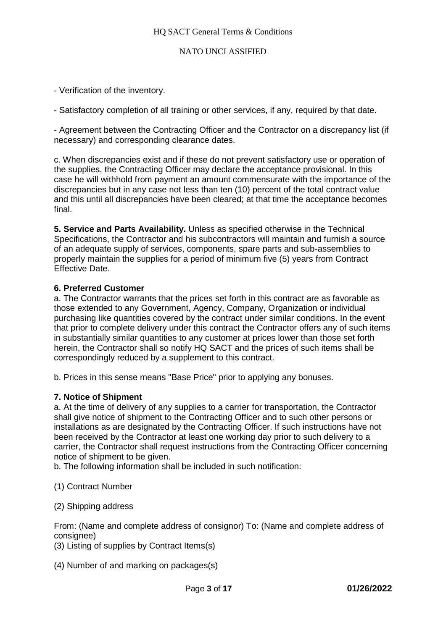- Verification of the inventory.
- Satisfactory completion of all training or other services, if any, required by that date.

- Agreement between the Contracting Officer and the Contractor on a discrepancy list (if necessary) and corresponding clearance dates.

c. When discrepancies exist and if these do not prevent satisfactory use or operation of the supplies, the Contracting Officer may declare the acceptance provisional. In this case he will withhold from payment an amount commensurate with the importance of the discrepancies but in any case not less than ten (10) percent of the total contract value and this until all discrepancies have been cleared; at that time the acceptance becomes final.

**5. Service and Parts Availability.** Unless as specified otherwise in the Technical Specifications, the Contractor and his subcontractors will maintain and furnish a source of an adequate supply of services, components, spare parts and sub-assemblies to properly maintain the supplies for a period of minimum five (5) years from Contract Effective Date.

### **6. Preferred Customer**

a. The Contractor warrants that the prices set forth in this contract are as favorable as those extended to any Government, Agency, Company, Organization or individual purchasing like quantities covered by the contract under similar conditions. In the event that prior to complete delivery under this contract the Contractor offers any of such items in substantially similar quantities to any customer at prices lower than those set forth herein, the Contractor shall so notify HQ SACT and the prices of such items shall be correspondingly reduced by a supplement to this contract.

b. Prices in this sense means "Base Price" prior to applying any bonuses.

### **7. Notice of Shipment**

a. At the time of delivery of any supplies to a carrier for transportation, the Contractor shall give notice of shipment to the Contracting Officer and to such other persons or installations as are designated by the Contracting Officer. If such instructions have not been received by the Contractor at least one working day prior to such delivery to a carrier, the Contractor shall request instructions from the Contracting Officer concerning notice of shipment to be given.

b. The following information shall be included in such notification:

- (1) Contract Number
- (2) Shipping address

From: (Name and complete address of consignor) To: (Name and complete address of consignee)

- (3) Listing of supplies by Contract Items(s)
- (4) Number of and marking on packages(s)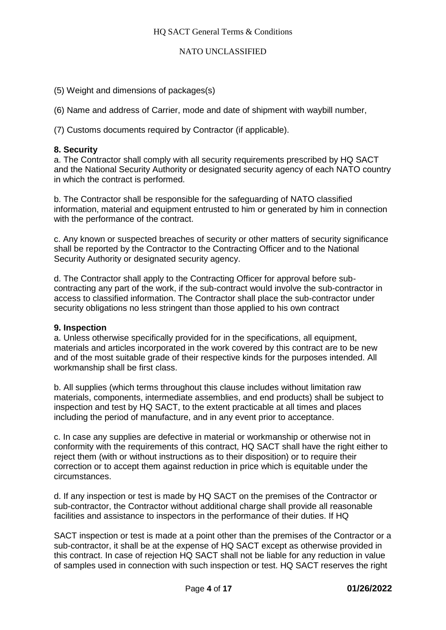(5) Weight and dimensions of packages(s)

(6) Name and address of Carrier, mode and date of shipment with waybill number,

(7) Customs documents required by Contractor (if applicable).

## **8. Security**

a. The Contractor shall comply with all security requirements prescribed by HQ SACT and the National Security Authority or designated security agency of each NATO country in which the contract is performed.

b. The Contractor shall be responsible for the safeguarding of NATO classified information, material and equipment entrusted to him or generated by him in connection with the performance of the contract.

c. Any known or suspected breaches of security or other matters of security significance shall be reported by the Contractor to the Contracting Officer and to the National Security Authority or designated security agency.

d. The Contractor shall apply to the Contracting Officer for approval before subcontracting any part of the work, if the sub-contract would involve the sub-contractor in access to classified information. The Contractor shall place the sub-contractor under security obligations no less stringent than those applied to his own contract

### **9. Inspection**

a. Unless otherwise specifically provided for in the specifications, all equipment, materials and articles incorporated in the work covered by this contract are to be new and of the most suitable grade of their respective kinds for the purposes intended. All workmanship shall be first class.

b. All supplies (which terms throughout this clause includes without limitation raw materials, components, intermediate assemblies, and end products) shall be subject to inspection and test by HQ SACT, to the extent practicable at all times and places including the period of manufacture, and in any event prior to acceptance.

c. In case any supplies are defective in material or workmanship or otherwise not in conformity with the requirements of this contract, HQ SACT shall have the right either to reject them (with or without instructions as to their disposition) or to require their correction or to accept them against reduction in price which is equitable under the circumstances.

d. If any inspection or test is made by HQ SACT on the premises of the Contractor or sub-contractor, the Contractor without additional charge shall provide all reasonable facilities and assistance to inspectors in the performance of their duties. If HQ

SACT inspection or test is made at a point other than the premises of the Contractor or a sub-contractor, it shall be at the expense of HQ SACT except as otherwise provided in this contract. In case of rejection HQ SACT shall not be liable for any reduction in value of samples used in connection with such inspection or test. HQ SACT reserves the right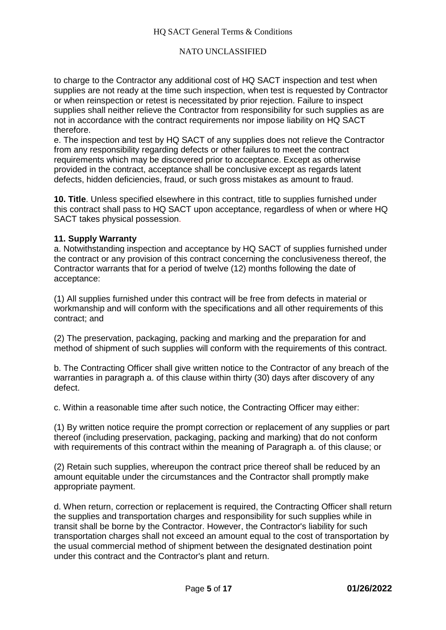to charge to the Contractor any additional cost of HQ SACT inspection and test when supplies are not ready at the time such inspection, when test is requested by Contractor or when reinspection or retest is necessitated by prior rejection. Failure to inspect supplies shall neither relieve the Contractor from responsibility for such supplies as are not in accordance with the contract requirements nor impose liability on HQ SACT therefore.

e. The inspection and test by HQ SACT of any supplies does not relieve the Contractor from any responsibility regarding defects or other failures to meet the contract requirements which may be discovered prior to acceptance. Except as otherwise provided in the contract, acceptance shall be conclusive except as regards latent defects, hidden deficiencies, fraud, or such gross mistakes as amount to fraud.

**10. Title**. Unless specified elsewhere in this contract, title to supplies furnished under this contract shall pass to HQ SACT upon acceptance, regardless of when or where HQ SACT takes physical possession.

### **11. Supply Warranty**

a. Notwithstanding inspection and acceptance by HQ SACT of supplies furnished under the contract or any provision of this contract concerning the conclusiveness thereof, the Contractor warrants that for a period of twelve (12) months following the date of acceptance:

(1) All supplies furnished under this contract will be free from defects in material or workmanship and will conform with the specifications and all other requirements of this contract; and

(2) The preservation, packaging, packing and marking and the preparation for and method of shipment of such supplies will conform with the requirements of this contract.

b. The Contracting Officer shall give written notice to the Contractor of any breach of the warranties in paragraph a. of this clause within thirty (30) days after discovery of any defect.

c. Within a reasonable time after such notice, the Contracting Officer may either:

(1) By written notice require the prompt correction or replacement of any supplies or part thereof (including preservation, packaging, packing and marking) that do not conform with requirements of this contract within the meaning of Paragraph a, of this clause; or

(2) Retain such supplies, whereupon the contract price thereof shall be reduced by an amount equitable under the circumstances and the Contractor shall promptly make appropriate payment.

d. When return, correction or replacement is required, the Contracting Officer shall return the supplies and transportation charges and responsibility for such supplies while in transit shall be borne by the Contractor. However, the Contractor's liability for such transportation charges shall not exceed an amount equal to the cost of transportation by the usual commercial method of shipment between the designated destination point under this contract and the Contractor's plant and return.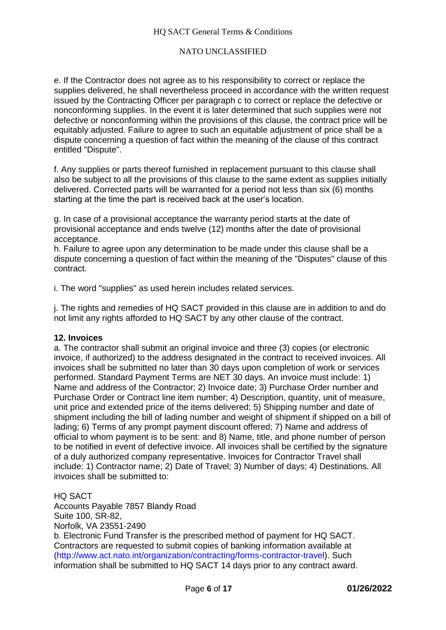e. If the Contractor does not agree as to his responsibility to correct or replace the supplies delivered, he shall nevertheless proceed in accordance with the written request issued by the Contracting Officer per paragraph c to correct or replace the defective or nonconforming supplies. In the event it is later determined that such supplies were not defective or nonconforming within the provisions of this clause, the contract price will be equitably adjusted. Failure to agree to such an equitable adjustment of price shall be a dispute concerning a question of fact within the meaning of the clause of this contract entitled "Dispute".

f. Any supplies or parts thereof furnished in replacement pursuant to this clause shall also be subject to all the provisions of this clause to the same extent as supplies initially delivered. Corrected parts will be warranted for a period not less than six (6) months starting at the time the part is received back at the user's location.

g. In case of a provisional acceptance the warranty period starts at the date of provisional acceptance and ends twelve (12) months after the date of provisional acceptance.

h. Failure to agree upon any determination to be made under this clause shall be a dispute concerning a question of fact within the meaning of the "Disputes" clause of this contract.

i. The word "supplies" as used herein includes related services.

j. The rights and remedies of HQ SACT provided in this clause are in addition to and do not limit any rights afforded to HQ SACT by any other clause of the contract.

#### **12. Invoices**

a. The contractor shall submit an original invoice and three (3) copies (or electronic invoice, if authorized) to the address designated in the contract to received invoices. All invoices shall be submitted no later than 30 days upon completion of work or services performed. Standard Payment Terms are NET 30 days. An invoice must include: 1) Name and address of the Contractor; 2) Invoice date; 3) Purchase Order number and Purchase Order or Contract line item number; 4) Description, quantity, unit of measure, unit price and extended price of the items delivered; 5) Shipping number and date of shipment including the bill of lading number and weight of shipment if shipped on a bill of lading; 6) Terms of any prompt payment discount offered; 7) Name and address of official to whom payment is to be sent: and 8) Name, title, and phone number of person to be notified in event of defective invoice. All invoices shall be certified by the signature of a duly authorized company representative. Invoices for Contractor Travel shall include: 1) Contractor name; 2) Date of Travel; 3) Number of days; 4) Destinations. All invoices shall be submitted to:

HQ SACT Accounts Payable 7857 Blandy Road Suite 100, SR-82, Norfolk, VA 23551-2490 b. Electronic Fund Transfer is the prescribed method of payment for HQ SACT. Contractors are requested to submit copies of banking information available at (http://www.act.nato.int/organization/contracting/forms-contractor-travel). Such information shall be submitted to HQ SACT 14 days prior to any contract award.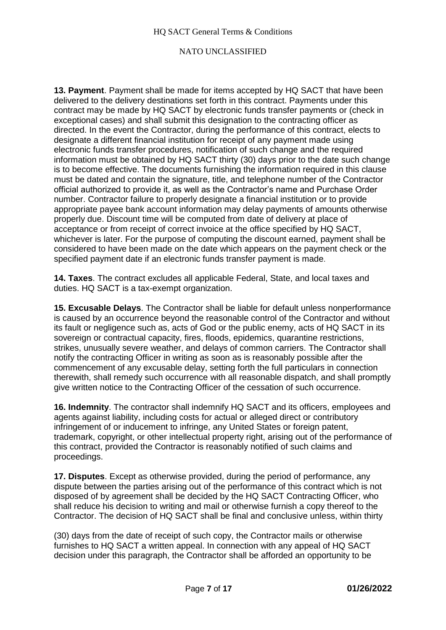**13. Payment**. Payment shall be made for items accepted by HQ SACT that have been delivered to the delivery destinations set forth in this contract. Payments under this contract may be made by HQ SACT by electronic funds transfer payments or (check in exceptional cases) and shall submit this designation to the contracting officer as directed. In the event the Contractor, during the performance of this contract, elects to designate a different financial institution for receipt of any payment made using electronic funds transfer procedures, notification of such change and the required information must be obtained by HQ SACT thirty (30) days prior to the date such change is to become effective. The documents furnishing the information required in this clause must be dated and contain the signature, title, and telephone number of the Contractor official authorized to provide it, as well as the Contractor's name and Purchase Order number. Contractor failure to properly designate a financial institution or to provide appropriate payee bank account information may delay payments of amounts otherwise properly due. Discount time will be computed from date of delivery at place of acceptance or from receipt of correct invoice at the office specified by HQ SACT, whichever is later. For the purpose of computing the discount earned, payment shall be considered to have been made on the date which appears on the payment check or the specified payment date if an electronic funds transfer payment is made.

**14. Taxes**. The contract excludes all applicable Federal, State, and local taxes and duties. HQ SACT is a tax-exempt organization.

**15. Excusable Delays**. The Contractor shall be liable for default unless nonperformance is caused by an occurrence beyond the reasonable control of the Contractor and without its fault or negligence such as, acts of God or the public enemy, acts of HQ SACT in its sovereign or contractual capacity, fires, floods, epidemics, quarantine restrictions, strikes, unusually severe weather, and delays of common carriers. The Contractor shall notify the contracting Officer in writing as soon as is reasonably possible after the commencement of any excusable delay, setting forth the full particulars in connection therewith, shall remedy such occurrence with all reasonable dispatch, and shall promptly give written notice to the Contracting Officer of the cessation of such occurrence.

**16. Indemnity**. The contractor shall indemnify HQ SACT and its officers, employees and agents against liability, including costs for actual or alleged direct or contributory infringement of or inducement to infringe, any United States or foreign patent, trademark, copyright, or other intellectual property right, arising out of the performance of this contract, provided the Contractor is reasonably notified of such claims and proceedings.

**17. Disputes**. Except as otherwise provided, during the period of performance, any dispute between the parties arising out of the performance of this contract which is not disposed of by agreement shall be decided by the HQ SACT Contracting Officer, who shall reduce his decision to writing and mail or otherwise furnish a copy thereof to the Contractor. The decision of HQ SACT shall be final and conclusive unless, within thirty

(30) days from the date of receipt of such copy, the Contractor mails or otherwise furnishes to HQ SACT a written appeal. In connection with any appeal of HQ SACT decision under this paragraph, the Contractor shall be afforded an opportunity to be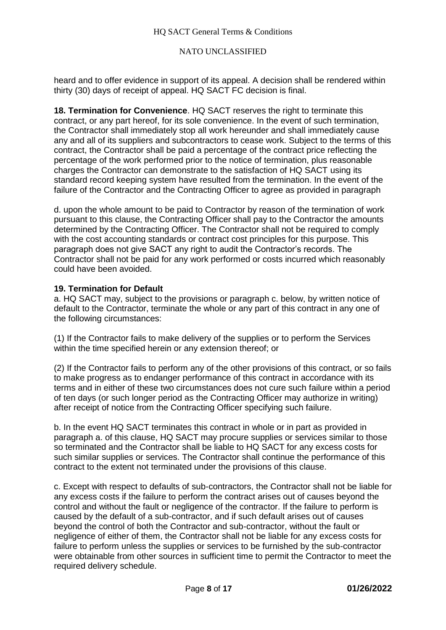heard and to offer evidence in support of its appeal. A decision shall be rendered within thirty (30) days of receipt of appeal. HQ SACT FC decision is final.

**18. Termination for Convenience**. HQ SACT reserves the right to terminate this contract, or any part hereof, for its sole convenience. In the event of such termination, the Contractor shall immediately stop all work hereunder and shall immediately cause any and all of its suppliers and subcontractors to cease work. Subject to the terms of this contract, the Contractor shall be paid a percentage of the contract price reflecting the percentage of the work performed prior to the notice of termination, plus reasonable charges the Contractor can demonstrate to the satisfaction of HQ SACT using its standard record keeping system have resulted from the termination. In the event of the failure of the Contractor and the Contracting Officer to agree as provided in paragraph

d. upon the whole amount to be paid to Contractor by reason of the termination of work pursuant to this clause, the Contracting Officer shall pay to the Contractor the amounts determined by the Contracting Officer. The Contractor shall not be required to comply with the cost accounting standards or contract cost principles for this purpose. This paragraph does not give SACT any right to audit the Contractor's records. The Contractor shall not be paid for any work performed or costs incurred which reasonably could have been avoided.

# **19. Termination for Default**

a. HQ SACT may, subject to the provisions or paragraph c. below, by written notice of default to the Contractor, terminate the whole or any part of this contract in any one of the following circumstances:

(1) If the Contractor fails to make delivery of the supplies or to perform the Services within the time specified herein or any extension thereof; or

(2) If the Contractor fails to perform any of the other provisions of this contract, or so fails to make progress as to endanger performance of this contract in accordance with its terms and in either of these two circumstances does not cure such failure within a period of ten days (or such longer period as the Contracting Officer may authorize in writing) after receipt of notice from the Contracting Officer specifying such failure.

b. In the event HQ SACT terminates this contract in whole or in part as provided in paragraph a. of this clause, HQ SACT may procure supplies or services similar to those so terminated and the Contractor shall be liable to HQ SACT for any excess costs for such similar supplies or services. The Contractor shall continue the performance of this contract to the extent not terminated under the provisions of this clause.

c. Except with respect to defaults of sub-contractors, the Contractor shall not be liable for any excess costs if the failure to perform the contract arises out of causes beyond the control and without the fault or negligence of the contractor. If the failure to perform is caused by the default of a sub-contractor, and if such default arises out of causes beyond the control of both the Contractor and sub-contractor, without the fault or negligence of either of them, the Contractor shall not be liable for any excess costs for failure to perform unless the supplies or services to be furnished by the sub-contractor were obtainable from other sources in sufficient time to permit the Contractor to meet the required delivery schedule.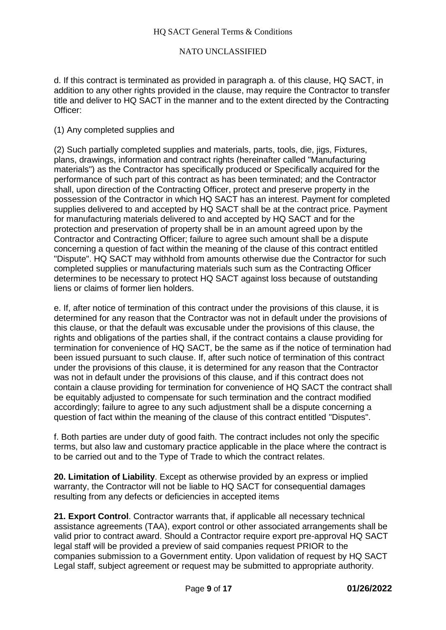d. If this contract is terminated as provided in paragraph a. of this clause, HQ SACT, in addition to any other rights provided in the clause, may require the Contractor to transfer title and deliver to HQ SACT in the manner and to the extent directed by the Contracting Officer:

### (1) Any completed supplies and

(2) Such partially completed supplies and materials, parts, tools, die, jigs, Fixtures, plans, drawings, information and contract rights (hereinafter called "Manufacturing materials") as the Contractor has specifically produced or Specifically acquired for the performance of such part of this contract as has been terminated; and the Contractor shall, upon direction of the Contracting Officer, protect and preserve property in the possession of the Contractor in which HQ SACT has an interest. Payment for completed supplies delivered to and accepted by HQ SACT shall be at the contract price. Payment for manufacturing materials delivered to and accepted by HQ SACT and for the protection and preservation of property shall be in an amount agreed upon by the Contractor and Contracting Officer; failure to agree such amount shall be a dispute concerning a question of fact within the meaning of the clause of this contract entitled "Dispute". HQ SACT may withhold from amounts otherwise due the Contractor for such completed supplies or manufacturing materials such sum as the Contracting Officer determines to be necessary to protect HQ SACT against loss because of outstanding liens or claims of former lien holders.

e. If, after notice of termination of this contract under the provisions of this clause, it is determined for any reason that the Contractor was not in default under the provisions of this clause, or that the default was excusable under the provisions of this clause, the rights and obligations of the parties shall, if the contract contains a clause providing for termination for convenience of HQ SACT, be the same as if the notice of termination had been issued pursuant to such clause. If, after such notice of termination of this contract under the provisions of this clause, it is determined for any reason that the Contractor was not in default under the provisions of this clause, and if this contract does not contain a clause providing for termination for convenience of HQ SACT the contract shall be equitably adjusted to compensate for such termination and the contract modified accordingly; failure to agree to any such adjustment shall be a dispute concerning a question of fact within the meaning of the clause of this contract entitled "Disputes".

f. Both parties are under duty of good faith. The contract includes not only the specific terms, but also law and customary practice applicable in the place where the contract is to be carried out and to the Type of Trade to which the contract relates.

**20. Limitation of Liability**. Except as otherwise provided by an express or implied warranty, the Contractor will not be liable to HQ SACT for consequential damages resulting from any defects or deficiencies in accepted items

**21. Export Control**. Contractor warrants that, if applicable all necessary technical assistance agreements (TAA), export control or other associated arrangements shall be valid prior to contract award. Should a Contractor require export pre-approval HQ SACT legal staff will be provided a preview of said companies request PRIOR to the companies submission to a Government entity. Upon validation of request by HQ SACT Legal staff, subject agreement or request may be submitted to appropriate authority.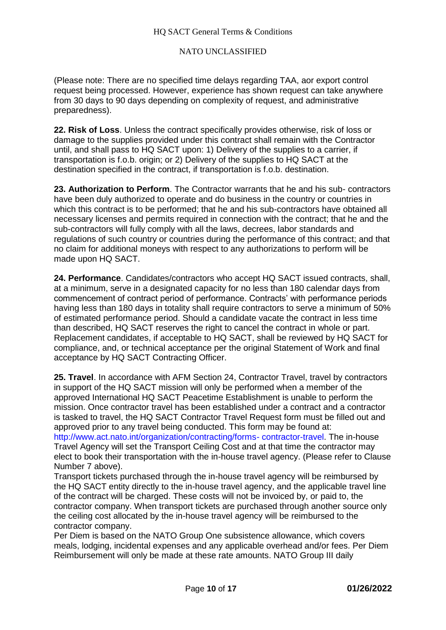#### HQ SACT General Terms & Conditions

### NATO UNCLASSIFIED

(Please note: There are no specified time delays regarding TAA, aor export control request being processed. However, experience has shown request can take anywhere from 30 days to 90 days depending on complexity of request, and administrative preparedness).

**22. Risk of Loss**. Unless the contract specifically provides otherwise, risk of loss or damage to the supplies provided under this contract shall remain with the Contractor until, and shall pass to HQ SACT upon: 1) Delivery of the supplies to a carrier, if transportation is f.o.b. origin; or 2) Delivery of the supplies to HQ SACT at the destination specified in the contract, if transportation is f.o.b. destination.

**23. Authorization to Perform**. The Contractor warrants that he and his sub- contractors have been duly authorized to operate and do business in the country or countries in which this contract is to be performed; that he and his sub-contractors have obtained all necessary licenses and permits required in connection with the contract; that he and the sub-contractors will fully comply with all the laws, decrees, labor standards and regulations of such country or countries during the performance of this contract; and that no claim for additional moneys with respect to any authorizations to perform will be made upon HQ SACT.

**24. Performance**. Candidates/contractors who accept HQ SACT issued contracts, shall, at a minimum, serve in a designated capacity for no less than 180 calendar days from commencement of contract period of performance. Contracts' with performance periods having less than 180 days in totality shall require contractors to serve a minimum of 50% of estimated performance period. Should a candidate vacate the contract in less time than described, HQ SACT reserves the right to cancel the contract in whole or part. Replacement candidates, if acceptable to HQ SACT, shall be reviewed by HQ SACT for compliance, and, or technical acceptance per the original Statement of Work and final acceptance by HQ SACT Contracting Officer.

**25. Travel**. In accordance with AFM Section 24, Contractor Travel, travel by contractors in support of the HQ SACT mission will only be performed when a member of the approved International HQ SACT Peacetime Establishment is unable to perform the mission. Once contractor travel has been established under a contract and a contractor is tasked to travel, the HQ SACT Contractor Travel Request form must be filled out and approved prior to any travel being conducted. This form may be found at: http://www.act.nato.int/organization/contracting/forms- contractor-travel. The in-house Travel Agency will set the Transport Ceiling Cost and at that time the contractor may elect to book their transportation with the in-house travel agency. (Please refer to Clause Number 7 above).

Transport tickets purchased through the in-house travel agency will be reimbursed by the HQ SACT entity directly to the in-house travel agency, and the applicable travel line of the contract will be charged. These costs will not be invoiced by, or paid to, the contractor company. When transport tickets are purchased through another source only the ceiling cost allocated by the in-house travel agency will be reimbursed to the contractor company.

Per Diem is based on the NATO Group One subsistence allowance, which covers meals, lodging, incidental expenses and any applicable overhead and/or fees. Per Diem Reimbursement will only be made at these rate amounts. NATO Group III daily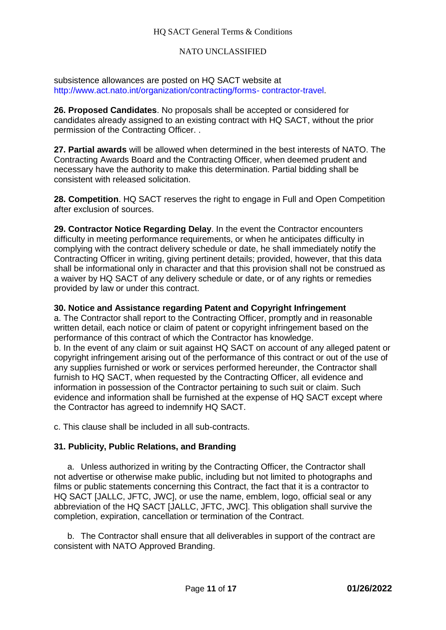### HQ SACT General Terms & Conditions

#### NATO UNCLASSIFIED

subsistence allowances are posted on HQ SACT website at http://www.act.nato.int/organization/contracting/forms- contractor-travel.

**26. Proposed Candidates**. No proposals shall be accepted or considered for candidates already assigned to an existing contract with HQ SACT, without the prior permission of the Contracting Officer. .

**27. Partial awards** will be allowed when determined in the best interests of NATO. The Contracting Awards Board and the Contracting Officer, when deemed prudent and necessary have the authority to make this determination. Partial bidding shall be consistent with released solicitation.

**28. Competition**. HQ SACT reserves the right to engage in Full and Open Competition after exclusion of sources.

**29. Contractor Notice Regarding Delay**. In the event the Contractor encounters difficulty in meeting performance requirements, or when he anticipates difficulty in complying with the contract delivery schedule or date, he shall immediately notify the Contracting Officer in writing, giving pertinent details; provided, however, that this data shall be informational only in character and that this provision shall not be construed as a waiver by HQ SACT of any delivery schedule or date, or of any rights or remedies provided by law or under this contract.

#### **30. Notice and Assistance regarding Patent and Copyright Infringement**

a. The Contractor shall report to the Contracting Officer, promptly and in reasonable written detail, each notice or claim of patent or copyright infringement based on the performance of this contract of which the Contractor has knowledge. b. In the event of any claim or suit against HQ SACT on account of any alleged patent or copyright infringement arising out of the performance of this contract or out of the use of any supplies furnished or work or services performed hereunder, the Contractor shall furnish to HQ SACT, when requested by the Contracting Officer, all evidence and information in possession of the Contractor pertaining to such suit or claim. Such evidence and information shall be furnished at the expense of HQ SACT except where the Contractor has agreed to indemnify HQ SACT.

c. This clause shall be included in all sub-contracts.

### **31. Publicity, Public Relations, and Branding**

a. Unless authorized in writing by the Contracting Officer, the Contractor shall not advertise or otherwise make public, including but not limited to photographs and films or public statements concerning this Contract, the fact that it is a contractor to HQ SACT [JALLC, JFTC, JWC], or use the name, emblem, logo, official seal or any abbreviation of the HQ SACT [JALLC, JFTC, JWC]. This obligation shall survive the completion, expiration, cancellation or termination of the Contract.

b. The Contractor shall ensure that all deliverables in support of the contract are consistent with NATO Approved Branding.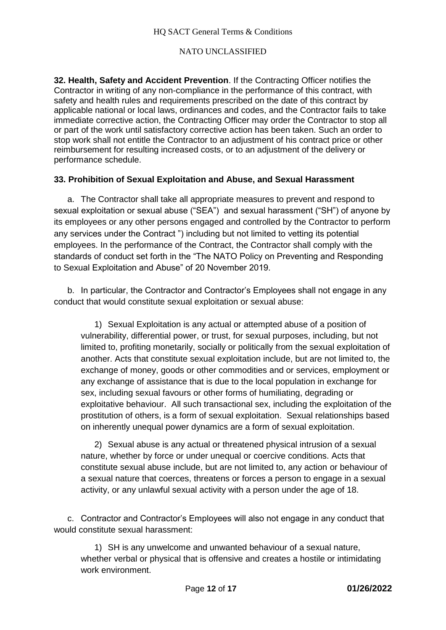**32. Health, Safety and Accident Prevention**. If the Contracting Officer notifies the Contractor in writing of any non-compliance in the performance of this contract, with safety and health rules and requirements prescribed on the date of this contract by applicable national or local laws, ordinances and codes, and the Contractor fails to take immediate corrective action, the Contracting Officer may order the Contractor to stop all or part of the work until satisfactory corrective action has been taken. Such an order to stop work shall not entitle the Contractor to an adjustment of his contract price or other reimbursement for resulting increased costs, or to an adjustment of the delivery or performance schedule.

# **33. Prohibition of Sexual Exploitation and Abuse, and Sexual Harassment**

a. The Contractor shall take all appropriate measures to prevent and respond to sexual exploitation or sexual abuse ("SEA") and sexual harassment ("SH") of anyone by its employees or any other persons engaged and controlled by the Contractor to perform any services under the Contract ") including but not limited to vetting its potential employees. In the performance of the Contract, the Contractor shall comply with the standards of conduct set forth in the "The NATO Policy on Preventing and Responding to Sexual Exploitation and Abuse" of 20 November 2019.

b. In particular, the Contractor and Contractor's Employees shall not engage in any conduct that would constitute sexual exploitation or sexual abuse:

1) Sexual Exploitation is any actual or attempted abuse of a position of vulnerability, differential power, or trust, for sexual purposes, including, but not limited to, profiting monetarily, socially or politically from the sexual exploitation of another. Acts that constitute sexual exploitation include, but are not limited to, the exchange of money, goods or other commodities and or services, employment or any exchange of assistance that is due to the local population in exchange for sex, including sexual favours or other forms of humiliating, degrading or exploitative behaviour. All such transactional sex, including the exploitation of the prostitution of others, is a form of sexual exploitation. Sexual relationships based on inherently unequal power dynamics are a form of sexual exploitation.

2) Sexual abuse is any actual or threatened physical intrusion of a sexual nature, whether by force or under unequal or coercive conditions. Acts that constitute sexual abuse include, but are not limited to, any action or behaviour of a sexual nature that coerces, threatens or forces a person to engage in a sexual activity, or any unlawful sexual activity with a person under the age of 18.

c. Contractor and Contractor's Employees will also not engage in any conduct that would constitute sexual harassment:

1) SH is any unwelcome and unwanted behaviour of a sexual nature, whether verbal or physical that is offensive and creates a hostile or intimidating work environment.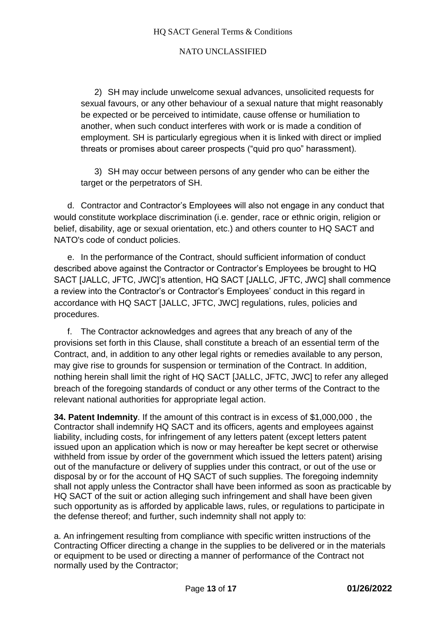2) SH may include unwelcome sexual advances, unsolicited requests for sexual favours, or any other behaviour of a sexual nature that might reasonably be expected or be perceived to intimidate, cause offense or humiliation to another, when such conduct interferes with work or is made a condition of employment. SH is particularly egregious when it is linked with direct or implied threats or promises about career prospects ("quid pro quo" harassment).

3) SH may occur between persons of any gender who can be either the target or the perpetrators of SH.

d. Contractor and Contractor's Employees will also not engage in any conduct that would constitute workplace discrimination (i.e. gender, race or ethnic origin, religion or belief, disability, age or sexual orientation, etc.) and others counter to HQ SACT and NATO's code of conduct policies.

e. In the performance of the Contract, should sufficient information of conduct described above against the Contractor or Contractor's Employees be brought to HQ SACT [JALLC, JFTC, JWC]'s attention, HQ SACT [JALLC, JFTC, JWC] shall commence a review into the Contractor's or Contractor's Employees' conduct in this regard in accordance with HQ SACT [JALLC, JFTC, JWC] regulations, rules, policies and procedures.

f. The Contractor acknowledges and agrees that any breach of any of the provisions set forth in this Clause, shall constitute a breach of an essential term of the Contract, and, in addition to any other legal rights or remedies available to any person, may give rise to grounds for suspension or termination of the Contract. In addition, nothing herein shall limit the right of HQ SACT [JALLC, JFTC, JWC] to refer any alleged breach of the foregoing standards of conduct or any other terms of the Contract to the relevant national authorities for appropriate legal action.

**34. Patent Indemnity**. If the amount of this contract is in excess of \$1,000,000 , the Contractor shall indemnify HQ SACT and its officers, agents and employees against liability, including costs, for infringement of any letters patent (except letters patent issued upon an application which is now or may hereafter be kept secret or otherwise withheld from issue by order of the government which issued the letters patent) arising out of the manufacture or delivery of supplies under this contract, or out of the use or disposal by or for the account of HQ SACT of such supplies. The foregoing indemnity shall not apply unless the Contractor shall have been informed as soon as practicable by HQ SACT of the suit or action alleging such infringement and shall have been given such opportunity as is afforded by applicable laws, rules, or regulations to participate in the defense thereof; and further, such indemnity shall not apply to:

a. An infringement resulting from compliance with specific written instructions of the Contracting Officer directing a change in the supplies to be delivered or in the materials or equipment to be used or directing a manner of performance of the Contract not normally used by the Contractor;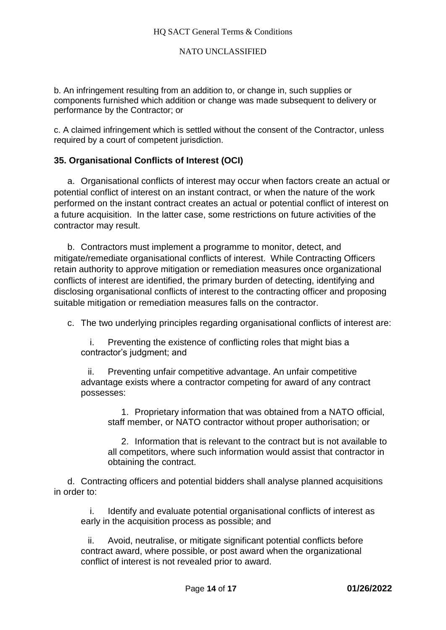b. An infringement resulting from an addition to, or change in, such supplies or components furnished which addition or change was made subsequent to delivery or performance by the Contractor; or

c. A claimed infringement which is settled without the consent of the Contractor, unless required by a court of competent jurisdiction.

# **35. Organisational Conflicts of Interest (OCI)**

a. Organisational conflicts of interest may occur when factors create an actual or potential conflict of interest on an instant contract, or when the nature of the work performed on the instant contract creates an actual or potential conflict of interest on a future acquisition. In the latter case, some restrictions on future activities of the contractor may result.

b. Contractors must implement a programme to monitor, detect, and mitigate/remediate organisational conflicts of interest. While Contracting Officers retain authority to approve mitigation or remediation measures once organizational conflicts of interest are identified, the primary burden of detecting, identifying and disclosing organisational conflicts of interest to the contracting officer and proposing suitable mitigation or remediation measures falls on the contractor.

c. The two underlying principles regarding organisational conflicts of interest are:

i. Preventing the existence of conflicting roles that might bias a contractor's judgment; and

ii. Preventing unfair competitive advantage. An unfair competitive advantage exists where a contractor competing for award of any contract possesses:

1. Proprietary information that was obtained from a NATO official, staff member, or NATO contractor without proper authorisation; or

2. Information that is relevant to the contract but is not available to all competitors, where such information would assist that contractor in obtaining the contract.

d. Contracting officers and potential bidders shall analyse planned acquisitions in order to:

i. Identify and evaluate potential organisational conflicts of interest as early in the acquisition process as possible; and

ii. Avoid, neutralise, or mitigate significant potential conflicts before contract award, where possible, or post award when the organizational conflict of interest is not revealed prior to award.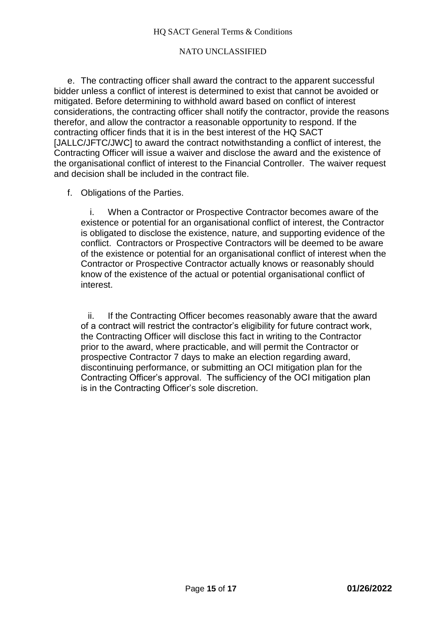e. The contracting officer shall award the contract to the apparent successful bidder unless a conflict of interest is determined to exist that cannot be avoided or mitigated. Before determining to withhold award based on conflict of interest considerations, the contracting officer shall notify the contractor, provide the reasons therefor, and allow the contractor a reasonable opportunity to respond. If the contracting officer finds that it is in the best interest of the HQ SACT [JALLC/JFTC/JWC] to award the contract notwithstanding a conflict of interest, the Contracting Officer will issue a waiver and disclose the award and the existence of the organisational conflict of interest to the Financial Controller. The waiver request and decision shall be included in the contract file.

f. Obligations of the Parties.

i. When a Contractor or Prospective Contractor becomes aware of the existence or potential for an organisational conflict of interest, the Contractor is obligated to disclose the existence, nature, and supporting evidence of the conflict. Contractors or Prospective Contractors will be deemed to be aware of the existence or potential for an organisational conflict of interest when the Contractor or Prospective Contractor actually knows or reasonably should know of the existence of the actual or potential organisational conflict of interest.

ii. If the Contracting Officer becomes reasonably aware that the award of a contract will restrict the contractor's eligibility for future contract work, the Contracting Officer will disclose this fact in writing to the Contractor prior to the award, where practicable, and will permit the Contractor or prospective Contractor 7 days to make an election regarding award, discontinuing performance, or submitting an OCI mitigation plan for the Contracting Officer's approval. The sufficiency of the OCI mitigation plan is in the Contracting Officer's sole discretion.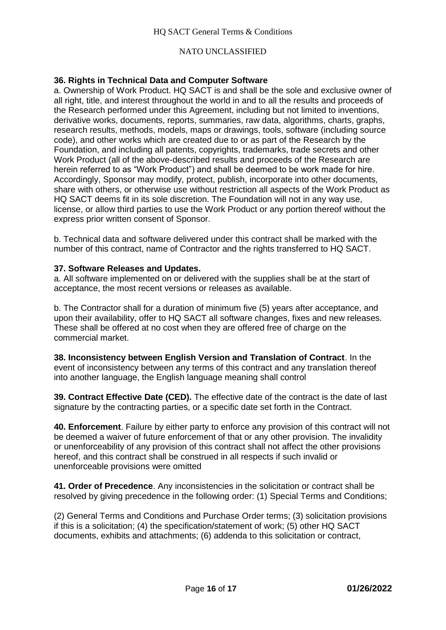# **36. Rights in Technical Data and Computer Software**

a. Ownership of Work Product. HQ SACT is and shall be the sole and exclusive owner of all right, title, and interest throughout the world in and to all the results and proceeds of the Research performed under this Agreement, including but not limited to inventions, derivative works, documents, reports, summaries, raw data, algorithms, charts, graphs, research results, methods, models, maps or drawings, tools, software (including source code), and other works which are created due to or as part of the Research by the Foundation, and including all patents, copyrights, trademarks, trade secrets and other Work Product (all of the above-described results and proceeds of the Research are herein referred to as "Work Product") and shall be deemed to be work made for hire. Accordingly, Sponsor may modify, protect, publish, incorporate into other documents, share with others, or otherwise use without restriction all aspects of the Work Product as HQ SACT deems fit in its sole discretion. The Foundation will not in any way use, license, or allow third parties to use the Work Product or any portion thereof without the express prior written consent of Sponsor.

b. Technical data and software delivered under this contract shall be marked with the number of this contract, name of Contractor and the rights transferred to HQ SACT.

### **37. Software Releases and Updates.**

a. All software implemented on or delivered with the supplies shall be at the start of acceptance, the most recent versions or releases as available.

b. The Contractor shall for a duration of minimum five (5) years after acceptance, and upon their availability, offer to HQ SACT all software changes, fixes and new releases. These shall be offered at no cost when they are offered free of charge on the commercial market.

**38. Inconsistency between English Version and Translation of Contract**. In the event of inconsistency between any terms of this contract and any translation thereof into another language, the English language meaning shall control

**39. Contract Effective Date (CED).** The effective date of the contract is the date of last signature by the contracting parties, or a specific date set forth in the Contract.

**40. Enforcement**. Failure by either party to enforce any provision of this contract will not be deemed a waiver of future enforcement of that or any other provision. The invalidity or unenforceability of any provision of this contract shall not affect the other provisions hereof, and this contract shall be construed in all respects if such invalid or unenforceable provisions were omitted

**41. Order of Precedence**. Any inconsistencies in the solicitation or contract shall be resolved by giving precedence in the following order: (1) Special Terms and Conditions;

(2) General Terms and Conditions and Purchase Order terms; (3) solicitation provisions if this is a solicitation; (4) the specification/statement of work; (5) other HQ SACT documents, exhibits and attachments; (6) addenda to this solicitation or contract,